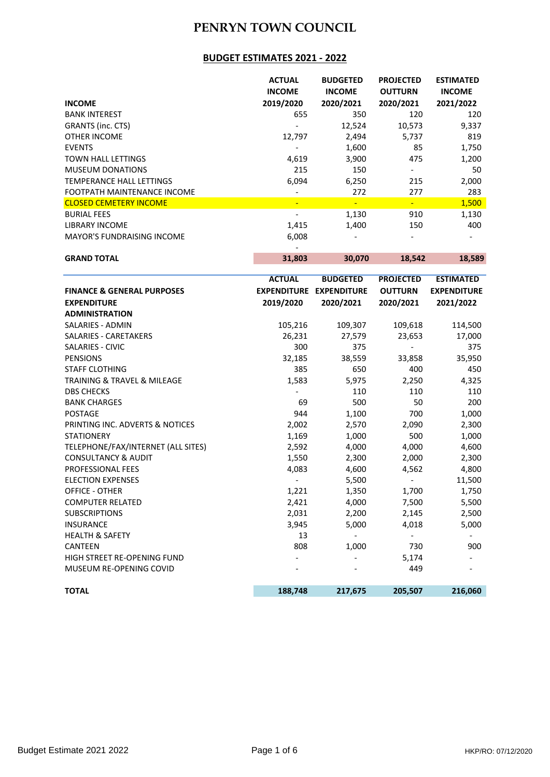#### **BUDGET ESTIMATES 2021 - 2022**

|                                   | <b>ACTUAL</b>  | <b>BUDGETED</b>          | <b>PROJECTED</b>         | <b>ESTIMATED</b> |
|-----------------------------------|----------------|--------------------------|--------------------------|------------------|
|                                   | <b>INCOME</b>  | <b>INCOME</b>            | <b>OUTTURN</b>           | <b>INCOME</b>    |
| <b>INCOME</b>                     | 2019/2020      | 2020/2021                | 2020/2021                | 2021/2022        |
| <b>BANK INTEREST</b>              | 655            | 350                      | 120                      | 120              |
| GRANTS (inc. CTS)                 |                | 12,524                   | 10,573                   | 9,337            |
| <b>OTHER INCOME</b>               | 12,797         | 2,494                    | 5,737                    | 819              |
| <b>EVENTS</b>                     |                | 1,600                    | 85                       | 1,750            |
| <b>TOWN HALL LETTINGS</b>         | 4,619          | 3,900                    | 475                      | 1,200            |
| <b>MUSEUM DONATIONS</b>           | 215            | 150                      | $\overline{\phantom{a}}$ | 50               |
| TEMPERANCE HALL LETTINGS          | 6,094          | 6,250                    | 215                      | 2,000            |
| FOOTPATH MAINTENANCE INCOME       |                | 272                      | 277                      | 283              |
| <b>CLOSED CEMETERY INCOME</b>     | $\blacksquare$ | $\overline{\phantom{0}}$ | $\blacksquare$           | 1,500            |
| <b>BURIAL FEES</b>                |                | 1,130                    | 910                      | 1,130            |
| <b>LIBRARY INCOME</b>             | 1,415          | 1,400                    | 150                      | 400              |
| <b>MAYOR'S FUNDRAISING INCOME</b> | 6,008          |                          |                          |                  |
|                                   |                |                          |                          |                  |

**GRAND TOTAL 31,803 30,070 18,542 18,589**

|                                       | <b>ACTUAL</b>            | <b>BUDGETED</b>                | <b>PROJECTED</b>         | <b>ESTIMATED</b>   |
|---------------------------------------|--------------------------|--------------------------------|--------------------------|--------------------|
| <b>FINANCE &amp; GENERAL PURPOSES</b> |                          | <b>EXPENDITURE EXPENDITURE</b> | <b>OUTTURN</b>           | <b>EXPENDITURE</b> |
| <b>EXPENDITURE</b>                    | 2019/2020                | 2020/2021                      | 2020/2021                | 2021/2022          |
| <b>ADMINISTRATION</b>                 |                          |                                |                          |                    |
| <b>SALARIES - ADMIN</b>               | 105,216                  | 109,307                        | 109,618                  | 114,500            |
| SALARIES - CARETAKERS                 | 26,231                   | 27,579                         | 23,653                   | 17,000             |
| <b>SALARIES - CIVIC</b>               | 300                      | 375                            |                          | 375                |
| <b>PENSIONS</b>                       | 32,185                   | 38,559                         | 33,858                   | 35,950             |
| <b>STAFF CLOTHING</b>                 | 385                      | 650                            | 400                      | 450                |
| TRAINING & TRAVEL & MILEAGE           | 1,583                    | 5,975                          | 2,250                    | 4,325              |
| <b>DBS CHECKS</b>                     |                          | 110                            | 110                      | 110                |
| <b>BANK CHARGES</b>                   | 69                       | 500                            | 50                       | 200                |
| <b>POSTAGE</b>                        | 944                      | 1,100                          | 700                      | 1,000              |
| PRINTING INC. ADVERTS & NOTICES       | 2,002                    | 2,570                          | 2,090                    | 2,300              |
| <b>STATIONERY</b>                     | 1,169                    | 1,000                          | 500                      | 1,000              |
| TELEPHONE/FAX/INTERNET (ALL SITES)    | 2,592                    | 4,000                          | 4,000                    | 4,600              |
| <b>CONSULTANCY &amp; AUDIT</b>        | 1,550                    | 2,300                          | 2,000                    | 2,300              |
| <b>PROFESSIONAL FEES</b>              | 4,083                    | 4,600                          | 4,562                    | 4,800              |
| <b>ELECTION EXPENSES</b>              | $\overline{\phantom{0}}$ | 5,500                          | $\overline{\phantom{a}}$ | 11,500             |
| <b>OFFICE - OTHER</b>                 | 1,221                    | 1,350                          | 1,700                    | 1,750              |
| <b>COMPUTER RELATED</b>               | 2,421                    | 4,000                          | 7,500                    | 5,500              |
| <b>SUBSCRIPTIONS</b>                  | 2,031                    | 2,200                          | 2,145                    | 2,500              |
| <b>INSURANCE</b>                      | 3,945                    | 5,000                          | 4,018                    | 5,000              |
| <b>HEALTH &amp; SAFETY</b>            | 13                       |                                |                          |                    |
| <b>CANTEEN</b>                        | 808                      | 1,000                          | 730                      | 900                |
| HIGH STREET RE-OPENING FUND           |                          |                                | 5,174                    |                    |
| MUSEUM RE-OPENING COVID               |                          |                                | 449                      |                    |
| <b>TOTAL</b>                          | 188,748                  | 217,675                        | 205,507                  | 216,060            |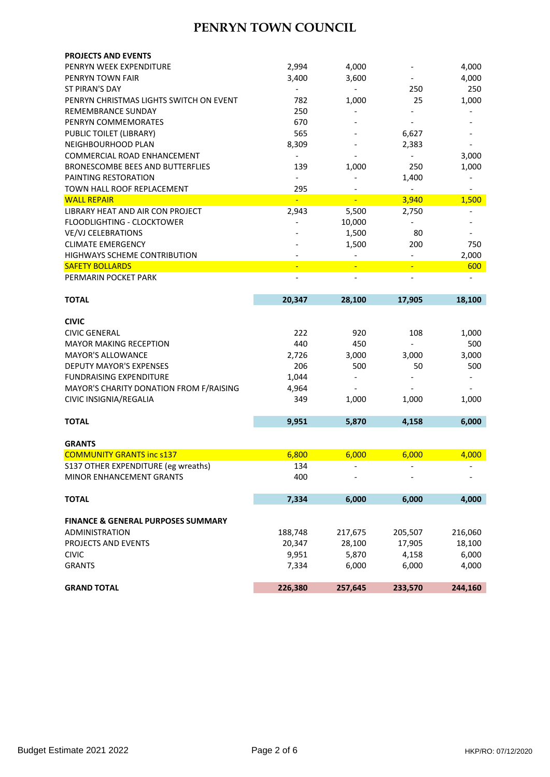| <b>PROJECTS AND EVENTS</b>                    |                          |                              |                          |         |
|-----------------------------------------------|--------------------------|------------------------------|--------------------------|---------|
| PENRYN WEEK EXPENDITURE                       | 2,994                    | 4,000                        |                          | 4,000   |
| PENRYN TOWN FAIR                              | 3,400                    | 3,600                        |                          | 4,000   |
| <b>ST PIRAN'S DAY</b>                         | $\overline{\phantom{a}}$ | $\qquad \qquad \blacksquare$ | 250                      | 250     |
| PENRYN CHRISTMAS LIGHTS SWITCH ON EVENT       | 782                      | 1,000                        | 25                       | 1,000   |
| <b>REMEMBRANCE SUNDAY</b>                     | 250                      |                              |                          |         |
| PENRYN COMMEMORATES                           | 670                      |                              |                          |         |
| PUBLIC TOILET (LIBRARY)                       | 565                      |                              | 6,627                    |         |
| NEIGHBOURHOOD PLAN                            | 8,309                    |                              | 2,383                    |         |
| COMMERCIAL ROAD ENHANCEMENT                   | $\overline{\phantom{0}}$ |                              | $\overline{\phantom{0}}$ | 3,000   |
| <b>BRONESCOMBE BEES AND BUTTERFLIES</b>       | 139                      | 1,000                        | 250                      | 1,000   |
| PAINTING RESTORATION                          | $\overline{\phantom{a}}$ |                              | 1,400                    |         |
| TOWN HALL ROOF REPLACEMENT                    | 295                      |                              | $\overline{\phantom{0}}$ |         |
| <b>WALL REPAIR</b>                            |                          |                              | 3,940                    | 1,500   |
| LIBRARY HEAT AND AIR CON PROJECT              | 2,943                    | 5,500                        | 2,750                    |         |
| <b>FLOODLIGHTING - CLOCKTOWER</b>             |                          | 10,000                       | $\overline{\phantom{0}}$ |         |
| <b>VE/VJ CELEBRATIONS</b>                     |                          | 1,500                        | 80                       |         |
| <b>CLIMATE EMERGENCY</b>                      |                          | 1,500                        | 200                      | 750     |
| <b>HIGHWAYS SCHEME CONTRIBUTION</b>           |                          |                              |                          | 2,000   |
|                                               |                          |                              |                          |         |
| <b>SAFETY BOLLARDS</b>                        |                          |                              |                          | 600     |
| PERMARIN POCKET PARK                          |                          |                              |                          |         |
|                                               |                          |                              |                          |         |
| <b>TOTAL</b>                                  | 20,347                   | 28,100                       | 17,905                   | 18,100  |
|                                               |                          |                              |                          |         |
| <b>CIVIC</b>                                  |                          |                              |                          |         |
| <b>CIVIC GENERAL</b>                          | 222                      | 920                          | 108                      | 1,000   |
| <b>MAYOR MAKING RECEPTION</b>                 | 440                      | 450                          |                          | 500     |
| <b>MAYOR'S ALLOWANCE</b>                      | 2,726                    | 3,000                        | 3,000                    | 3,000   |
| <b>DEPUTY MAYOR'S EXPENSES</b>                | 206                      | 500                          | 50                       | 500     |
| <b>FUNDRAISING EXPENDITURE</b>                | 1,044                    |                              |                          |         |
| MAYOR'S CHARITY DONATION FROM F/RAISING       | 4,964                    |                              |                          |         |
| CIVIC INSIGNIA/REGALIA                        | 349                      | 1,000                        | 1,000                    | 1,000   |
|                                               |                          |                              |                          |         |
| <b>TOTAL</b>                                  | 9,951                    | 5,870                        | 4,158                    | 6,000   |
|                                               |                          |                              |                          |         |
| <b>GRANTS</b>                                 |                          |                              |                          |         |
| <b>COMMUNITY GRANTS inc s137</b>              | 6,800                    | 6,000                        | 6,000                    | 4,000   |
| S137 OTHER EXPENDITURE (eg wreaths)           | 134                      |                              |                          |         |
| MINOR ENHANCEMENT GRANTS                      | 400                      |                              |                          |         |
|                                               |                          |                              |                          |         |
| <b>TOTAL</b>                                  | 7,334                    | 6,000                        | 6,000                    | 4,000   |
|                                               |                          |                              |                          |         |
| <b>FINANCE &amp; GENERAL PURPOSES SUMMARY</b> |                          |                              |                          |         |
| <b>ADMINISTRATION</b>                         | 188,748                  | 217,675                      | 205,507                  | 216,060 |
| PROJECTS AND EVENTS                           | 20,347                   | 28,100                       | 17,905                   | 18,100  |
| <b>CIVIC</b>                                  | 9,951                    | 5,870                        | 4,158                    | 6,000   |
| <b>GRANTS</b>                                 | 7,334                    | 6,000                        | 6,000                    | 4,000   |
|                                               |                          |                              |                          |         |
| <b>GRAND TOTAL</b>                            | 226,380                  | 257,645                      | 233,570                  | 244,160 |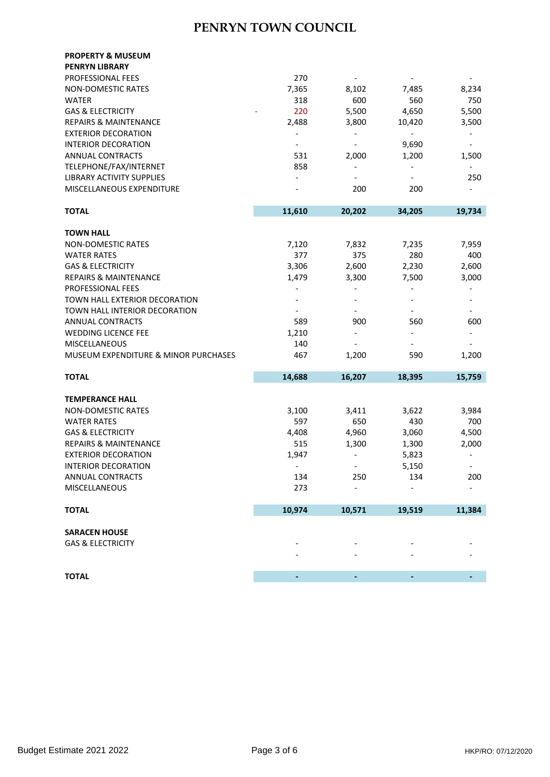| <b>PROPERTY &amp; MUSEUM</b>         |                              |                          |                              |                          |
|--------------------------------------|------------------------------|--------------------------|------------------------------|--------------------------|
| <b>PENRYN LIBRARY</b>                |                              |                          |                              |                          |
| PROFESSIONAL FEES                    | 270                          |                          |                              |                          |
| <b>NON-DOMESTIC RATES</b>            | 7,365                        | 8,102                    | 7,485                        | 8,234                    |
| <b>WATER</b>                         | 318                          | 600                      | 560                          | 750                      |
| <b>GAS &amp; ELECTRICITY</b>         | 220                          | 5,500                    | 4,650                        | 5,500                    |
| <b>REPAIRS &amp; MAINTENANCE</b>     | 2,488                        | 3,800                    | 10,420                       | 3,500                    |
| <b>EXTERIOR DECORATION</b>           | $\qquad \qquad \blacksquare$ | $\overline{\phantom{a}}$ | $\qquad \qquad \blacksquare$ |                          |
| <b>INTERIOR DECORATION</b>           |                              |                          | 9,690                        | $\overline{\phantom{a}}$ |
| <b>ANNUAL CONTRACTS</b>              | 531                          | 2,000                    | 1,200                        | 1,500                    |
| TELEPHONE/FAX/INTERNET               | 858                          | $\overline{\phantom{a}}$ |                              |                          |
| LIBRARY ACTIVITY SUPPLIES            | $\qquad \qquad \blacksquare$ |                          |                              | 250                      |
| MISCELLANEOUS EXPENDITURE            |                              | 200                      | 200                          |                          |
|                                      |                              |                          |                              |                          |
| <b>TOTAL</b>                         | 11,610                       | 20,202                   | 34,205                       | 19,734                   |
|                                      |                              |                          |                              |                          |
| <b>TOWN HALL</b>                     |                              |                          |                              |                          |
| <b>NON-DOMESTIC RATES</b>            | 7,120                        | 7,832                    | 7,235                        | 7,959                    |
| <b>WATER RATES</b>                   | 377                          | 375                      | 280                          | 400                      |
| <b>GAS &amp; ELECTRICITY</b>         | 3,306                        | 2,600                    | 2,230                        | 2,600                    |
| <b>REPAIRS &amp; MAINTENANCE</b>     | 1,479                        | 3,300                    | 7,500                        | 3,000                    |
| PROFESSIONAL FEES                    | $\qquad \qquad \blacksquare$ |                          |                              |                          |
| TOWN HALL EXTERIOR DECORATION        |                              |                          |                              |                          |
| TOWN HALL INTERIOR DECORATION        |                              |                          |                              |                          |
| <b>ANNUAL CONTRACTS</b>              | 589                          | 900                      | 560                          | 600                      |
| <b>WEDDING LICENCE FEE</b>           | 1,210                        |                          |                              |                          |
| <b>MISCELLANEOUS</b>                 | 140                          |                          |                              |                          |
| MUSEUM EXPENDITURE & MINOR PURCHASES | 467                          | 1,200                    | 590                          | 1,200                    |
| <b>TOTAL</b>                         | 14,688                       | 16,207                   | 18,395                       | 15,759                   |
|                                      |                              |                          |                              |                          |
| <b>TEMPERANCE HALL</b>               |                              |                          |                              |                          |
| <b>NON-DOMESTIC RATES</b>            | 3,100                        | 3,411                    | 3,622                        | 3,984                    |
| <b>WATER RATES</b>                   | 597                          | 650                      | 430                          | 700                      |
| <b>GAS &amp; ELECTRICITY</b>         | 4,408                        | 4,960                    | 3,060                        | 4,500                    |
| <b>REPAIRS &amp; MAINTENANCE</b>     | 515                          | 1,300                    | 1,300                        | 2,000                    |
| <b>EXTERIOR DECORATION</b>           | 1,947                        | $\overline{\phantom{a}}$ | 5,823                        |                          |
| <b>INTERIOR DECORATION</b>           |                              |                          | 5,150                        |                          |
| ANNUAL CONTRACTS                     | 134                          | 250                      | 134                          | 200                      |
| MISCELLANEOUS                        | 273                          |                          |                              |                          |
| <b>TOTAL</b>                         | 10,974                       | 10,571                   | 19,519                       | 11,384                   |
| <b>SARACEN HOUSE</b>                 |                              |                          |                              |                          |
| <b>GAS &amp; ELECTRICITY</b>         |                              |                          |                              |                          |
|                                      |                              |                          |                              |                          |
|                                      |                              |                          |                              |                          |
| <b>TOTAL</b>                         |                              |                          |                              |                          |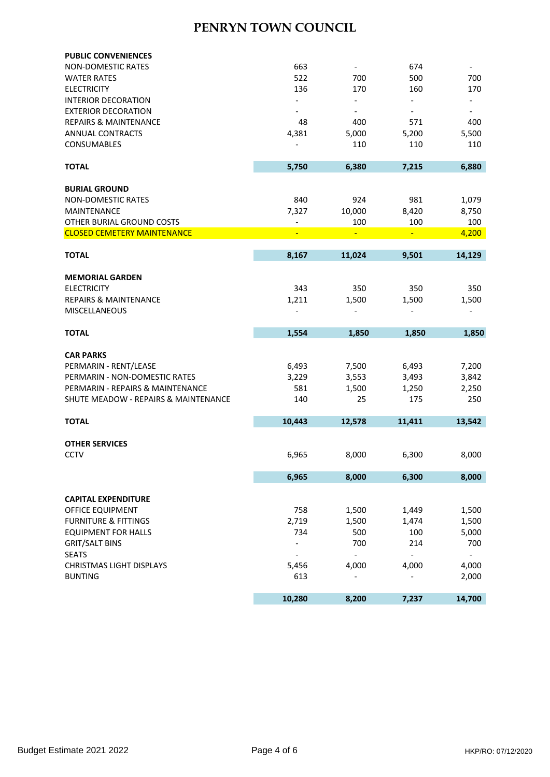| NON-DOMESTIC RATES                   | 663                          |                              | 674                      |                          |
|--------------------------------------|------------------------------|------------------------------|--------------------------|--------------------------|
| <b>WATER RATES</b>                   | 522                          | 700                          | 500                      | 700                      |
| <b>ELECTRICITY</b>                   | 136                          | 170                          | 160                      | 170                      |
| <b>INTERIOR DECORATION</b>           | $\qquad \qquad \blacksquare$ | $\qquad \qquad \blacksquare$ |                          | $\overline{\phantom{a}}$ |
| <b>EXTERIOR DECORATION</b>           |                              | $\overline{\phantom{a}}$     | $\overline{\phantom{a}}$ | $\overline{\phantom{a}}$ |
| <b>REPAIRS &amp; MAINTENANCE</b>     | 48                           | 400                          | 571                      | 400                      |
| <b>ANNUAL CONTRACTS</b>              | 4,381                        | 5,000                        | 5,200                    | 5,500                    |
| <b>CONSUMABLES</b>                   |                              | 110                          | 110                      | 110                      |
| <b>TOTAL</b>                         | 5,750                        | 6,380                        | 7,215                    | 6,880                    |
| <b>BURIAL GROUND</b>                 |                              |                              |                          |                          |
| <b>NON-DOMESTIC RATES</b>            | 840                          | 924                          | 981                      | 1,079                    |
| <b>MAINTENANCE</b>                   | 7,327                        | 10,000                       | 8,420                    | 8,750                    |
| OTHER BURIAL GROUND COSTS            | $\overline{a}$               | 100                          | 100                      | 100                      |
| <b>CLOSED CEMETERY MAINTENANCE</b>   |                              | Ξ                            | Ξ                        | 4,200                    |
|                                      |                              |                              |                          |                          |
| <b>TOTAL</b>                         | 8,167                        | 11,024                       | 9,501                    | 14,129                   |
| <b>MEMORIAL GARDEN</b>               |                              |                              |                          |                          |
| <b>ELECTRICITY</b>                   | 343                          | 350                          | 350                      | 350                      |
| <b>REPAIRS &amp; MAINTENANCE</b>     | 1,211                        | 1,500                        | 1,500                    | 1,500                    |
| <b>MISCELLANEOUS</b>                 |                              |                              |                          |                          |
|                                      |                              |                              |                          |                          |
| <b>TOTAL</b>                         | 1,554                        | 1,850                        | 1,850                    | 1,850                    |
| <b>CAR PARKS</b>                     |                              |                              |                          |                          |
| PERMARIN - RENT/LEASE                | 6,493                        | 7,500                        | 6,493                    | 7,200                    |
|                                      |                              |                              |                          | 3,842                    |
|                                      |                              |                              |                          |                          |
| PERMARIN - NON-DOMESTIC RATES        | 3,229                        | 3,553                        | 3,493                    |                          |
| PERMARIN - REPAIRS & MAINTENANCE     | 581                          | 1,500                        | 1,250                    | 2,250                    |
| SHUTE MEADOW - REPAIRS & MAINTENANCE | 140                          | 25                           | 175                      | 250                      |
| <b>TOTAL</b>                         | 10,443                       | 12,578                       | 11,411                   | 13,542                   |
|                                      |                              |                              |                          |                          |
| <b>OTHER SERVICES</b>                |                              |                              |                          |                          |
| <b>CCTV</b>                          | 6,965                        | 8,000                        | 6,300                    | 8,000                    |
|                                      | 6,965                        | 8,000                        | 6,300                    | 8,000                    |
|                                      |                              |                              |                          |                          |
| <b>CAPITAL EXPENDITURE</b>           |                              |                              |                          |                          |
| OFFICE EQUIPMENT                     | 758                          | 1,500                        | 1,449                    | 1,500                    |
| <b>FURNITURE &amp; FITTINGS</b>      | 2,719                        | 1,500                        | 1,474                    | 1,500                    |
| <b>EQUIPMENT FOR HALLS</b>           | 734                          | 500                          | 100                      | 5,000                    |
| <b>GRIT/SALT BINS</b>                |                              | 700                          | 214                      | 700                      |
| <b>SEATS</b>                         |                              |                              |                          |                          |
| <b>CHRISTMAS LIGHT DISPLAYS</b>      | 5,456                        | 4,000                        | 4,000                    | 4,000                    |
| <b>BUNTING</b>                       | 613                          |                              |                          | 2,000                    |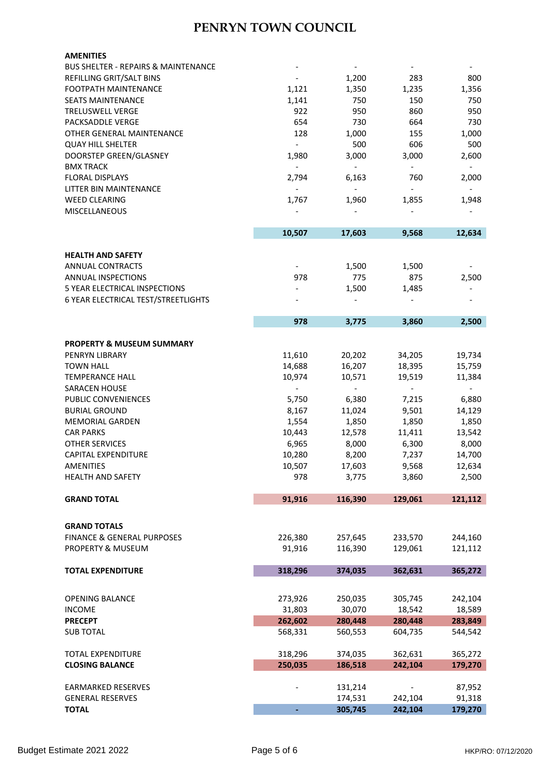| <b>AMENITIES</b>                               |                              |                          |                              |                              |
|------------------------------------------------|------------------------------|--------------------------|------------------------------|------------------------------|
| <b>BUS SHELTER - REPAIRS &amp; MAINTENANCE</b> |                              |                          |                              |                              |
| REFILLING GRIT/SALT BINS                       |                              | 1,200                    | 283                          | 800                          |
| FOOTPATH MAINTENANCE                           | 1,121                        | 1,350                    | 1,235                        | 1,356                        |
| <b>SEATS MAINTENANCE</b>                       | 1,141                        | 750                      | 150                          | 750                          |
| <b>TRELUSWELL VERGE</b>                        | 922                          | 950                      | 860                          | 950                          |
| PACKSADDLE VERGE                               | 654                          | 730                      | 664                          | 730                          |
| OTHER GENERAL MAINTENANCE                      | 128                          | 1,000                    | 155                          | 1,000                        |
| <b>QUAY HILL SHELTER</b>                       | $\overline{\phantom{a}}$     | 500                      | 606                          | 500                          |
| DOORSTEP GREEN/GLASNEY                         | 1,980                        | 3,000                    | 3,000                        | 2,600                        |
| <b>BMX TRACK</b>                               |                              |                          | $\overline{\phantom{a}}$     |                              |
|                                                | $\qquad \qquad \blacksquare$ | $\overline{\phantom{a}}$ |                              | $\qquad \qquad \blacksquare$ |
| <b>FLORAL DISPLAYS</b>                         | 2,794                        | 6,163                    | 760                          | 2,000                        |
| LITTER BIN MAINTENANCE                         | $\qquad \qquad \blacksquare$ | $\overline{\phantom{a}}$ | $\qquad \qquad \blacksquare$ |                              |
| <b>WEED CLEARING</b>                           | 1,767                        | 1,960                    | 1,855                        | 1,948                        |
| <b>MISCELLANEOUS</b>                           |                              |                          |                              |                              |
|                                                |                              |                          |                              |                              |
|                                                | 10,507                       | 17,603                   | 9,568                        | 12,634                       |
| <b>HEALTH AND SAFETY</b>                       |                              |                          |                              |                              |
|                                                |                              |                          |                              |                              |
| <b>ANNUAL CONTRACTS</b>                        |                              | 1,500                    | 1,500                        |                              |
| ANNUAL INSPECTIONS                             | 978                          | 775                      | 875                          | 2,500                        |
| 5 YEAR ELECTRICAL INSPECTIONS                  |                              | 1,500                    | 1,485                        |                              |
| 6 YEAR ELECTRICAL TEST/STREETLIGHTS            |                              |                          |                              |                              |
|                                                | 978                          | 3,775                    | 3,860                        | 2,500                        |
|                                                |                              |                          |                              |                              |
| <b>PROPERTY &amp; MUSEUM SUMMARY</b>           |                              |                          |                              |                              |
| PENRYN LIBRARY                                 | 11,610                       | 20,202                   | 34,205                       | 19,734                       |
| <b>TOWN HALL</b>                               | 14,688                       | 16,207                   | 18,395                       | 15,759                       |
| <b>TEMPERANCE HALL</b>                         | 10,974                       | 10,571                   | 19,519                       | 11,384                       |
|                                                |                              |                          |                              |                              |
| <b>SARACEN HOUSE</b>                           |                              | $\overline{\phantom{a}}$ | $\overline{\phantom{a}}$     |                              |
| PUBLIC CONVENIENCES                            | 5,750                        | 6,380                    | 7,215                        | 6,880                        |
| <b>BURIAL GROUND</b>                           | 8,167                        | 11,024                   | 9,501                        | 14,129                       |
| <b>MEMORIAL GARDEN</b>                         | 1,554                        | 1,850                    | 1,850                        | 1,850                        |
| <b>CAR PARKS</b>                               | 10,443                       | 12,578                   | 11,411                       | 13,542                       |
| <b>OTHER SERVICES</b>                          | 6,965                        | 8,000                    | 6,300                        | 8,000                        |
| <b>CAPITAL EXPENDITURE</b>                     | 10,280                       | 8,200                    | 7,237                        | 14,700                       |
| <b>AMENITIES</b>                               | 10,507                       | 17,603                   | 9,568                        | 12,634                       |
| <b>HEALTH AND SAFETY</b>                       | 978                          | 3,775                    | 3,860                        | 2,500                        |
|                                                |                              |                          |                              |                              |
| <b>GRAND TOTAL</b>                             | 91,916                       | 116,390                  | 129,061                      | 121,112                      |
|                                                |                              |                          |                              |                              |
| <b>GRAND TOTALS</b>                            |                              |                          |                              |                              |
| <b>FINANCE &amp; GENERAL PURPOSES</b>          | 226,380                      | 257,645                  | 233,570                      | 244,160                      |
| PROPERTY & MUSEUM                              | 91,916                       | 116,390                  | 129,061                      | 121,112                      |
|                                                |                              |                          |                              |                              |
| <b>TOTAL EXPENDITURE</b>                       | 318,296                      | 374,035                  | 362,631                      | 365,272                      |
|                                                |                              |                          |                              |                              |
| <b>OPENING BALANCE</b>                         | 273,926                      | 250,035                  | 305,745                      | 242,104                      |
| <b>INCOME</b>                                  | 31,803                       | 30,070                   | 18,542                       | 18,589                       |
| <b>PRECEPT</b>                                 | 262,602                      | 280,448                  | 280,448                      | 283,849                      |
| <b>SUB TOTAL</b>                               | 568,331                      | 560,553                  | 604,735                      | 544,542                      |
|                                                |                              |                          |                              |                              |
| <b>TOTAL EXPENDITURE</b>                       | 318,296                      | 374,035                  | 362,631                      | 365,272                      |
| <b>CLOSING BALANCE</b>                         | 250,035                      | 186,518                  | 242,104                      | 179,270                      |
|                                                |                              |                          |                              |                              |
| <b>EARMARKED RESERVES</b>                      |                              | 131,214                  |                              | 87,952                       |
| <b>GENERAL RESERVES</b>                        |                              | 174,531                  | 242,104                      | 91,318                       |
| <b>TOTAL</b>                                   | ÷,                           | 305,745                  | 242,104                      | 179,270                      |